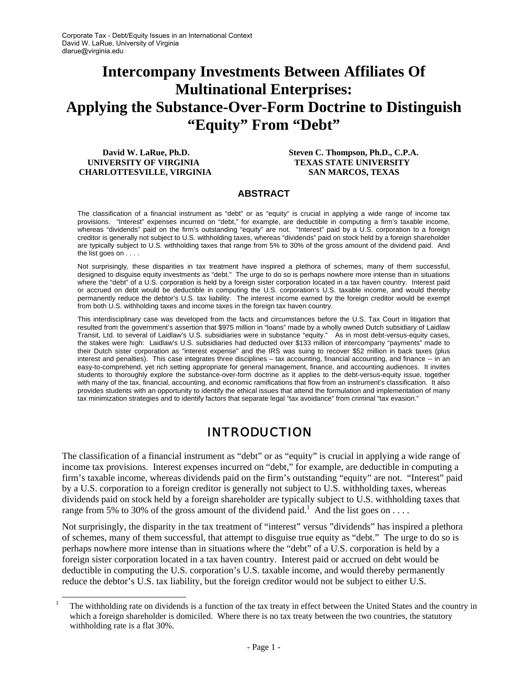# **Intercompany Investments Between Affiliates Of Multinational Enterprises: Applying the Substance-Over-Form Doctrine to Distinguish "Equity" From "Debt"**

 **UNIVERSITY OF VIRGINIA TEXAS STATE UNIVERSITY CHARLOTTESVILLE, VIRGINIA SAN MARCOS, TEXAS** 

 **David W. LaRue, Ph.D. Steven C. Thompson, Ph.D., C.P.A.** 

#### **ABSTRACT**

The classification of a financial instrument as "debt" or as "equity" is crucial in applying a wide range of income tax provisions. "Interest" expenses incurred on "debt," for example, are deductible in computing a firm's taxable income, whereas "dividends" paid on the firm's outstanding "equity" are not. "Interest" paid by a U.S. corporation to a foreign creditor is generally not subject to U.S. withholding taxes, whereas "dividends" paid on stock held by a foreign shareholder are typically subject to U.S. withholding taxes that range from 5% to 30% of the gross amount of the dividend paid. And the list goes on . . . .

Not surprisingly, these disparities in tax treatment have inspired a plethora of schemes, many of them successful, designed to disguise equity investments as "debt." The urge to do so is perhaps nowhere more intense than in situations where the "debt" of a U.S. corporation is held by a foreign sister corporation located in a tax haven country. Interest paid or accrued on debt would be deductible in computing the U.S. corporation's U.S. taxable income, and would thereby permanently reduce the debtor's U.S. tax liability. The interest income earned by the foreign creditor would be exempt from both U.S. withholding taxes and income taxes in the foreign tax haven country.

This interdisciplinary case was developed from the facts and circumstances before the U.S. Tax Court in litigation that resulted from the government's assertion that \$975 million in "loans" made by a wholly owned Dutch subsidiary of Laidlaw Transit, Ltd. to several of Laidlaw's U.S. subsidiaries were in substance "equity." As in most debt-versus-equity cases, the stakes were high: Laidlaw's U.S. subsidiaries had deducted over \$133 million of intercompany "payments" made to their Dutch sister corporation as "interest expense" and the IRS was suing to recover \$52 million in back taxes (plus interest and penalties). This case integrates three disciplines – tax accounting, financial accounting, and finance -- in an easy-to-comprehend, yet rich setting appropriate for general management, finance, and accounting audiences. It invites students to thoroughly explore the substance-over-form doctrine as it applies to the debt-versus-equity issue, together with many of the tax, financial, accounting, and economic ramifications that flow from an instrument's classification. It also provides students with an opportunity to identify the ethical issues that attend the formulation and implementation of many tax minimization strategies and to identify factors that separate legal "tax avoidance" from criminal "tax evasion."

# INTRODUCTION

The classification of a financial instrument as "debt" or as "equity" is crucial in applying a wide range of income tax provisions. Interest expenses incurred on "debt," for example, are deductible in computing a firm's taxable income, whereas dividends paid on the firm's outstanding "equity" are not. "Interest" paid by a U.S. corporation to a foreign creditor is generally not subject to U.S. withholding taxes, whereas dividends paid on stock held by a foreign shareholder are typically subject to U.S. withholding taxes that range from 5% to 30% of the gross amount of the dividend paid.<sup>1</sup> And the list goes on ....

Not surprisingly, the disparity in the tax treatment of "interest" versus "dividends" has inspired a plethora of schemes, many of them successful, that attempt to disguise true equity as "debt." The urge to do so is perhaps nowhere more intense than in situations where the "debt" of a U.S. corporation is held by a foreign sister corporation located in a tax haven country. Interest paid or accrued on debt would be deductible in computing the U.S. corporation's U.S. taxable income, and would thereby permanently reduce the debtor's U.S. tax liability, but the foreign creditor would not be subject to either U.S.

 $\begin{bmatrix} 1 \end{bmatrix}$  The withholding rate on dividends is a function of the tax treaty in effect between the United States and the country in which a foreign shareholder is domiciled. Where there is no tax treaty between the two countries, the statutory withholding rate is a flat 30%.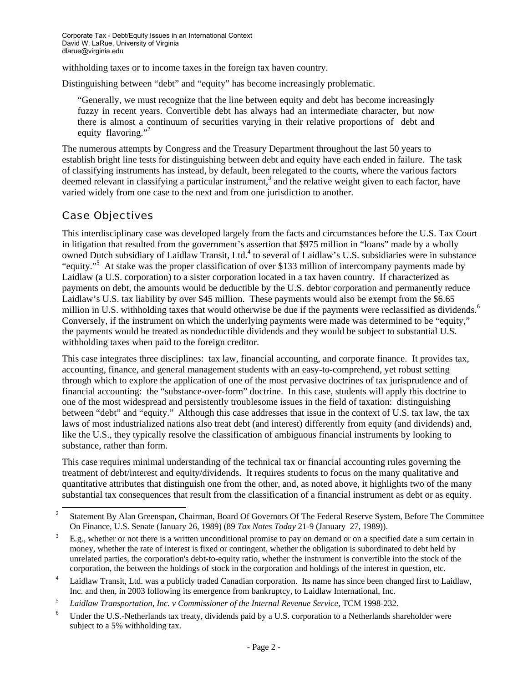withholding taxes or to income taxes in the foreign tax haven country.

Distinguishing between "debt" and "equity" has become increasingly problematic.

"Generally, we must recognize that the line between equity and debt has become increasingly fuzzy in recent years. Convertible debt has always had an intermediate character, but now there is almost a continuum of securities varying in their relative proportions of debt and equity flavoring."<sup>2</sup>

The numerous attempts by Congress and the Treasury Department throughout the last 50 years to establish bright line tests for distinguishing between debt and equity have each ended in failure. The task of classifying instruments has instead, by default, been relegated to the courts, where the various factors deemed relevant in classifying a particular instrument,<sup>3</sup> and the relative weight given to each factor, have varied widely from one case to the next and from one jurisdiction to another.

#### Case Objectives

This interdisciplinary case was developed largely from the facts and circumstances before the U.S. Tax Court in litigation that resulted from the government's assertion that \$975 million in "loans" made by a wholly owned Dutch subsidiary of Laidlaw Transit, Ltd.<sup>4</sup> to several of Laidlaw's U.S. subsidiaries were in substance "equity."<sup>5</sup> At stake was the proper classification of over \$133 million of intercompany payments made by Laidlaw (a U.S. corporation) to a sister corporation located in a tax haven country. If characterized as payments on debt, the amounts would be deductible by the U.S. debtor corporation and permanently reduce Laidlaw's U.S. tax liability by over \$45 million. These payments would also be exempt from the \$6.65 million in U.S. withholding taxes that would otherwise be due if the payments were reclassified as dividends.<sup>6</sup> Conversely, if the instrument on which the underlying payments were made was determined to be "equity," the payments would be treated as nondeductible dividends and they would be subject to substantial U.S. withholding taxes when paid to the foreign creditor.

This case integrates three disciplines: tax law, financial accounting, and corporate finance. It provides tax, accounting, finance, and general management students with an easy-to-comprehend, yet robust setting through which to explore the application of one of the most pervasive doctrines of tax jurisprudence and of financial accounting: the "substance-over-form" doctrine. In this case, students will apply this doctrine to one of the most widespread and persistently troublesome issues in the field of taxation: distinguishing between "debt" and "equity." Although this case addresses that issue in the context of U.S. tax law, the tax laws of most industrialized nations also treat debt (and interest) differently from equity (and dividends) and, like the U.S., they typically resolve the classification of ambiguous financial instruments by looking to substance, rather than form.

This case requires minimal understanding of the technical tax or financial accounting rules governing the treatment of debt/interest and equity/dividends. It requires students to focus on the many qualitative and quantitative attributes that distinguish one from the other, and, as noted above, it highlights two of the many substantial tax consequences that result from the classification of a financial instrument as debt or as equity.

 <sup>2</sup> Statement By Alan Greenspan, Chairman, Board Of Governors Of The Federal Reserve System, Before The Committee On Finance, U.S. Senate (January 26, 1989) (89 *Tax Notes Today* 21-9 (January 27, 1989)).

E.g., whether or not there is a written unconditional promise to pay on demand or on a specified date a sum certain in money, whether the rate of interest is fixed or contingent, whether the obligation is subordinated to debt held by unrelated parties, the corporation's debt-to-equity ratio, whether the instrument is convertible into the stock of the corporation, the between the holdings of stock in the corporation and holdings of the interest in question, etc. 4

Laidlaw Transit, Ltd. was a publicly traded Canadian corporation. Its name has since been changed first to Laidlaw,

Inc. and then, in 2003 following its emergence from bankruptcy, to Laidlaw International, Inc.<br>
<sup>5</sup> *Laidlaw Transportation, Inc. v Commissioner of the Internal Revenue Service*, TCM 1998-232.<br>
<sup>6</sup> **Ladar the U.S. Notherla** 

Under the U.S.-Netherlands tax treaty, dividends paid by a U.S. corporation to a Netherlands shareholder were subject to a 5% withholding tax.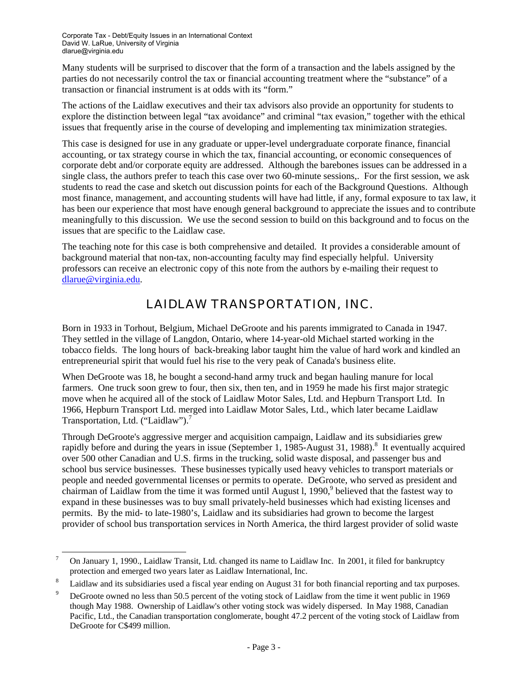Many students will be surprised to discover that the form of a transaction and the labels assigned by the parties do not necessarily control the tax or financial accounting treatment where the "substance" of a transaction or financial instrument is at odds with its "form."

The actions of the Laidlaw executives and their tax advisors also provide an opportunity for students to explore the distinction between legal "tax avoidance" and criminal "tax evasion," together with the ethical issues that frequently arise in the course of developing and implementing tax minimization strategies.

This case is designed for use in any graduate or upper-level undergraduate corporate finance, financial accounting, or tax strategy course in which the tax, financial accounting, or economic consequences of corporate debt and/or corporate equity are addressed. Although the barebones issues can be addressed in a single class, the authors prefer to teach this case over two 60-minute sessions,. For the first session, we ask students to read the case and sketch out discussion points for each of the Background Questions. Although most finance, management, and accounting students will have had little, if any, formal exposure to tax law, it has been our experience that most have enough general background to appreciate the issues and to contribute meaningfully to this discussion. We use the second session to build on this background and to focus on the issues that are specific to the Laidlaw case.

The teaching note for this case is both comprehensive and detailed. It provides a considerable amount of background material that non-tax, non-accounting faculty may find especially helpful. University professors can receive an electronic copy of this note from the authors by e-mailing their request to dlarue@virginia.edu.

# LAIDLAW TRANSPORTATION, INC.

Born in 1933 in Torhout, Belgium, Michael DeGroote and his parents immigrated to Canada in 1947. They settled in the village of Langdon, Ontario, where 14-year-old Michael started working in the tobacco fields. The long hours of back-breaking labor taught him the value of hard work and kindled an entrepreneurial spirit that would fuel his rise to the very peak of Canada's business elite.

When DeGroote was 18, he bought a second-hand army truck and began hauling manure for local farmers. One truck soon grew to four, then six, then ten, and in 1959 he made his first major strategic move when he acquired all of the stock of Laidlaw Motor Sales, Ltd. and Hepburn Transport Ltd. In 1966, Hepburn Transport Ltd. merged into Laidlaw Motor Sales, Ltd., which later became Laidlaw Transportation, Ltd. ("Laidlaw").<sup>7</sup>

Through DeGroote's aggressive merger and acquisition campaign, Laidlaw and its subsidiaries grew rapidly before and during the years in issue (September 1, 1985-August 31, 1988).<sup>8</sup> It eventually acquired over 500 other Canadian and U.S. firms in the trucking, solid waste disposal, and passenger bus and school bus service businesses. These businesses typically used heavy vehicles to transport materials or people and needed governmental licenses or permits to operate. DeGroote, who served as president and chairman of Laidlaw from the time it was formed until August 1, 1990,<sup>9</sup> believed that the fastest way to expand in these businesses was to buy small privately-held businesses which had existing licenses and permits. By the mid- to late-1980's, Laidlaw and its subsidiaries had grown to become the largest provider of school bus transportation services in North America, the third largest provider of solid waste

 <sup>7</sup> On January 1, 1990., Laidlaw Transit, Ltd. changed its name to Laidlaw Inc. In 2001, it filed for bankruptcy protection and emerged two years later as Laidlaw International, Inc. 8

Laidlaw and its subsidiaries used a fiscal year ending on August 31 for both financial reporting and tax purposes.

<sup>9</sup> DeGroote owned no less than 50.5 percent of the voting stock of Laidlaw from the time it went public in 1969 though May 1988. Ownership of Laidlaw's other voting stock was widely dispersed. In May 1988, Canadian Pacific, Ltd., the Canadian transportation conglomerate, bought 47.2 percent of the voting stock of Laidlaw from DeGroote for C\$499 million.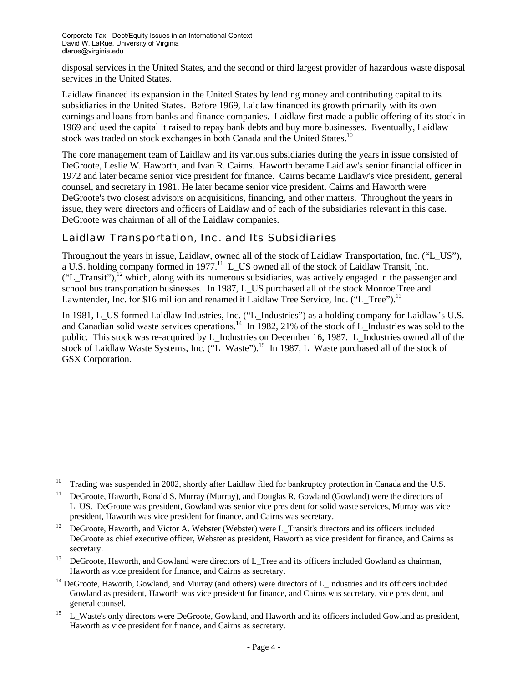disposal services in the United States, and the second or third largest provider of hazardous waste disposal services in the United States.

Laidlaw financed its expansion in the United States by lending money and contributing capital to its subsidiaries in the United States. Before 1969, Laidlaw financed its growth primarily with its own earnings and loans from banks and finance companies. Laidlaw first made a public offering of its stock in 1969 and used the capital it raised to repay bank debts and buy more businesses. Eventually, Laidlaw stock was traded on stock exchanges in both Canada and the United States.<sup>10</sup>

The core management team of Laidlaw and its various subsidiaries during the years in issue consisted of DeGroote, Leslie W. Haworth, and Ivan R. Cairns. Haworth became Laidlaw's senior financial officer in 1972 and later became senior vice president for finance. Cairns became Laidlaw's vice president, general counsel, and secretary in 1981. He later became senior vice president. Cairns and Haworth were DeGroote's two closest advisors on acquisitions, financing, and other matters. Throughout the years in issue, they were directors and officers of Laidlaw and of each of the subsidiaries relevant in this case. DeGroote was chairman of all of the Laidlaw companies.

#### Laidlaw Transportation, Inc. and Its Subsidiaries

Throughout the years in issue, Laidlaw, owned all of the stock of Laidlaw Transportation, Inc. ("L\_US"), a U.S. holding company formed in  $1977$ .<sup>11</sup> L US owned all of the stock of Laidlaw Transit, Inc.  $("L_Transit")$ ,<sup>12</sup> which, along with its numerous subsidiaries, was actively engaged in the passenger and school bus transportation businesses. In 1987, L\_US purchased all of the stock Monroe Tree and Lawntender, Inc. for \$16 million and renamed it Laidlaw Tree Service, Inc. ("L\_Tree").<sup>13</sup>

In 1981, L\_US formed Laidlaw Industries, Inc. ("L\_Industries") as a holding company for Laidlaw's U.S. and Canadian solid waste services operations.<sup>14</sup> In 1982, 21% of the stock of L\_Industries was sold to the public. This stock was re-acquired by L\_Industries on December 16, 1987. L\_Industries owned all of the stock of Laidlaw Waste Systems, Inc. ("L\_Waste").<sup>15</sup> In 1987, L\_Waste purchased all of the stock of GSX Corporation.

 $10$  Trading was suspended in 2002, shortly after Laidlaw filed for bankruptcy protection in Canada and the U.S.

<sup>&</sup>lt;sup>11</sup> DeGroote, Haworth, Ronald S. Murray (Murray), and Douglas R. Gowland (Gowland) were the directors of L\_US. DeGroote was president, Gowland was senior vice president for solid waste services, Murray was vice

president, Haworth was vice president for finance, and Cairns was secretary.<br><sup>12</sup> DeGroote, Haworth, and Victor A. Webster (Webster) were L\_Transit's directors and its officers included DeGroote as chief executive officer, Webster as president, Haworth as vice president for finance, and Cairns as secretary.<br><sup>13</sup> DeGroote, Haworth, and Gowland were directors of L\_Tree and its officers included Gowland as chairman,

Haworth as vice president for finance, and Cairns as secretary.<br><sup>14</sup> DeGroote, Haworth, Gowland, and Murray (and others) were directors of L\_Industries and its officers included Gowland as president, Haworth was vice president for finance, and Cairns was secretary, vice president, and

general counsel.<br>
15 L\_Waste's only directors were DeGroote, Gowland, and Haworth and its officers included Gowland as president, Haworth as vice president for finance, and Cairns as secretary.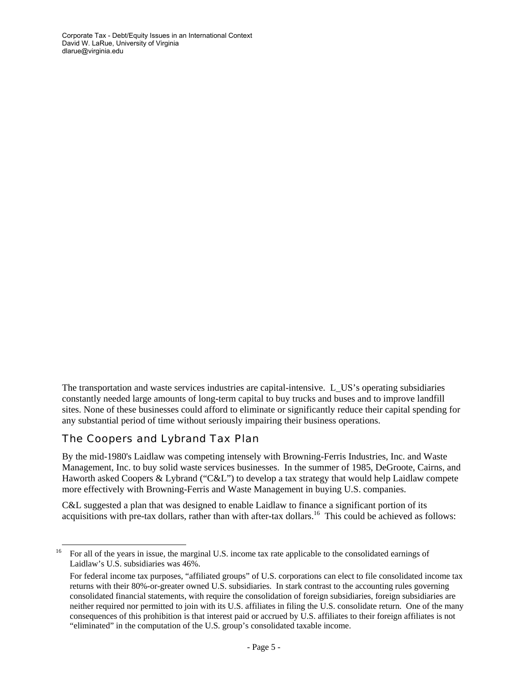Corporate Tax - Debt/Equity Issues in an International Context David W. LaRue, University of Virginia dlarue@virginia.edu

The transportation and waste services industries are capital-intensive. L\_US's operating subsidiaries constantly needed large amounts of long-term capital to buy trucks and buses and to improve landfill sites. None of these businesses could afford to eliminate or significantly reduce their capital spending for any substantial period of time without seriously impairing their business operations.

#### The Coopers and Lybrand Tax Plan

By the mid-1980's Laidlaw was competing intensely with Browning-Ferris Industries, Inc. and Waste Management, Inc. to buy solid waste services businesses. In the summer of 1985, DeGroote, Cairns, and Haworth asked Coopers & Lybrand ("C&L") to develop a tax strategy that would help Laidlaw compete more effectively with Browning-Ferris and Waste Management in buying U.S. companies.

C&L suggested a plan that was designed to enable Laidlaw to finance a significant portion of its acquisitions with pre-tax dollars, rather than with after-tax dollars.<sup>16</sup> This could be achieved as follows:

<sup>&</sup>lt;sup>16</sup> For all of the years in issue, the marginal U.S. income tax rate applicable to the consolidated earnings of Laidlaw's U.S. subsidiaries was 46%.

For federal income tax purposes, "affiliated groups" of U.S. corporations can elect to file consolidated income tax returns with their 80%-or-greater owned U.S. subsidiaries. In stark contrast to the accounting rules governing consolidated financial statements, with require the consolidation of foreign subsidiaries, foreign subsidiaries are neither required nor permitted to join with its U.S. affiliates in filing the U.S. consolidate return. One of the many consequences of this prohibition is that interest paid or accrued by U.S. affiliates to their foreign affiliates is not "eliminated" in the computation of the U.S. group's consolidated taxable income.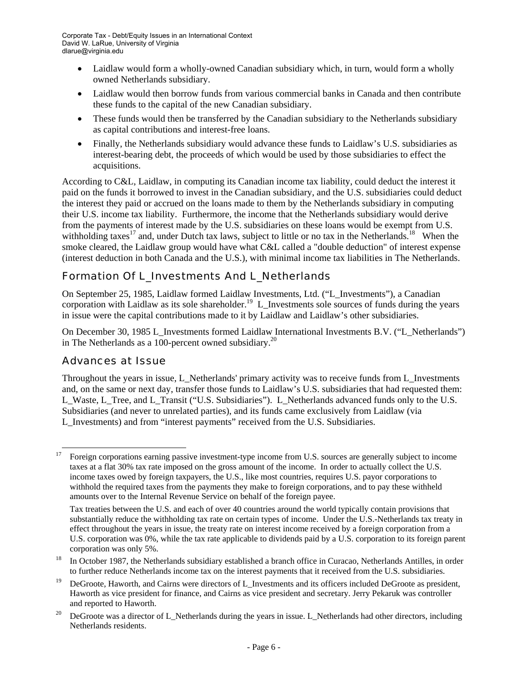- Laidlaw would form a wholly-owned Canadian subsidiary which, in turn, would form a wholly owned Netherlands subsidiary.
- Laidlaw would then borrow funds from various commercial banks in Canada and then contribute these funds to the capital of the new Canadian subsidiary.
- These funds would then be transferred by the Canadian subsidiary to the Netherlands subsidiary as capital contributions and interest-free loans.
- Finally, the Netherlands subsidiary would advance these funds to Laidlaw's U.S. subsidiaries as interest-bearing debt, the proceeds of which would be used by those subsidiaries to effect the acquisitions.

According to C&L, Laidlaw, in computing its Canadian income tax liability, could deduct the interest it paid on the funds it borrowed to invest in the Canadian subsidiary, and the U.S. subsidiaries could deduct the interest they paid or accrued on the loans made to them by the Netherlands subsidiary in computing their U.S. income tax liability. Furthermore, the income that the Netherlands subsidiary would derive from the payments of interest made by the U.S. subsidiaries on these loans would be exempt from U.S. withholding taxes<sup>17</sup> and, under Dutch tax laws, subject to little or no tax in the Netherlands.<sup>18</sup> When the smoke cleared, the Laidlaw group would have what C&L called a "double deduction" of interest expense (interest deduction in both Canada and the U.S.), with minimal income tax liabilities in The Netherlands.

# Formation Of L\_Investments And L\_Netherlands

On September 25, 1985, Laidlaw formed Laidlaw Investments, Ltd. ("L\_Investments"), a Canadian corporation with Laidlaw as its sole shareholder.<sup>19</sup> L\_Investments sole sources of funds during the years in issue were the capital contributions made to it by Laidlaw and Laidlaw's other subsidiaries.

On December 30, 1985 L\_Investments formed Laidlaw International Investments B.V. ("L\_Netherlands") in The Netherlands as a 100-percent owned subsidiary.<sup>20</sup>

#### Advances at Issue

Throughout the years in issue, L\_Netherlands' primary activity was to receive funds from L\_Investments and, on the same or next day, transfer those funds to Laidlaw's U.S. subsidiaries that had requested them: L\_Waste, L\_Tree, and L\_Transit ("U.S. Subsidiaries"). L\_Netherlands advanced funds only to the U.S. Subsidiaries (and never to unrelated parties), and its funds came exclusively from Laidlaw (via L\_Investments) and from "interest payments" received from the U.S. Subsidiaries.

 <sup>17</sup> Foreign corporations earning passive investment-type income from U.S. sources are generally subject to income taxes at a flat 30% tax rate imposed on the gross amount of the income. In order to actually collect the U.S. income taxes owed by foreign taxpayers, the U.S., like most countries, requires U.S. payor corporations to withhold the required taxes from the payments they make to foreign corporations, and to pay these withheld amounts over to the Internal Revenue Service on behalf of the foreign payee.

Tax treaties between the U.S. and each of over 40 countries around the world typically contain provisions that substantially reduce the withholding tax rate on certain types of income. Under the U.S.-Netherlands tax treaty in effect throughout the years in issue, the treaty rate on interest income received by a foreign corporation from a U.S. corporation was 0%, while the tax rate applicable to dividends paid by a U.S. corporation to its foreign parent corporation was only 5%.<br><sup>18</sup> In October 1987, the Netherlands subsidiary established a branch office in Curacao, Netherlands Antilles, in order

to further reduce Netherlands income tax on the interest payments that it received from the U.S. subsidiaries.

<sup>19</sup> DeGroote, Haworth, and Cairns were directors of L\_Investments and its officers included DeGroote as president, Haworth as vice president for finance, and Cairns as vice president and secretary. Jerry Pekaruk was controller

and reported to Haworth.<br>DeGroote was a director of L\_Netherlands during the years in issue. L\_Netherlands had other directors, including Netherlands residents.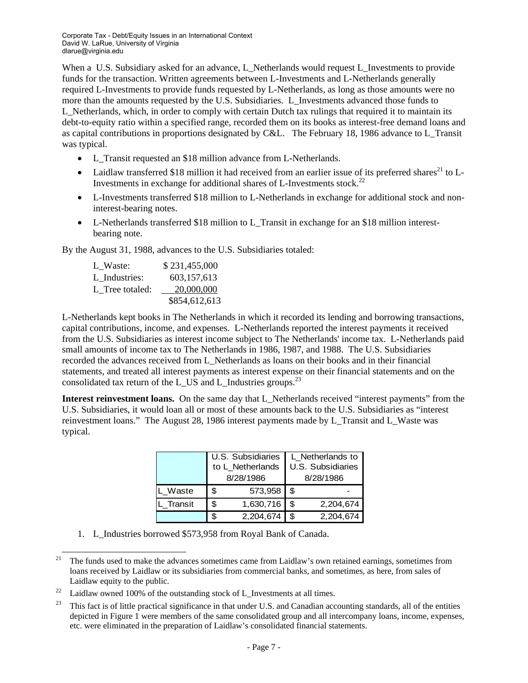When a U.S. Subsidiary asked for an advance, L\_Netherlands would request L\_Investments to provide funds for the transaction. Written agreements between L-Investments and L-Netherlands generally required L-Investments to provide funds requested by L-Netherlands, as long as those amounts were no more than the amounts requested by the U.S. Subsidiaries. L\_Investments advanced those funds to L\_Netherlands, which, in order to comply with certain Dutch tax rulings that required it to maintain its debt-to-equity ratio within a specified range, recorded them on its books as interest-free demand loans and as capital contributions in proportions designated by C&L. The February 18, 1986 advance to L\_Transit was typical.

- L\_Transit requested an \$18 million advance from L-Netherlands.
- Laidlaw transferred \$18 million it had received from an earlier issue of its preferred shares<sup>21</sup> to L-Investments in exchange for additional shares of L-Investments stock.<sup>22</sup>
- L-Investments transferred \$18 million to L-Netherlands in exchange for additional stock and noninterest-bearing notes.
- L-Netherlands transferred \$18 million to L\_Transit in exchange for an \$18 million interestbearing note.

By the August 31, 1988, advances to the U.S. Subsidiaries totaled:

| L Waste:        | \$231,455,000 |
|-----------------|---------------|
| L Industries:   | 603,157,613   |
| L Tree totaled: | 20,000,000    |
|                 | \$854,612,613 |

L-Netherlands kept books in The Netherlands in which it recorded its lending and borrowing transactions, capital contributions, income, and expenses. L-Netherlands reported the interest payments it received from the U.S. Subsidiaries as interest income subject to The Netherlands' income tax. L-Netherlands paid small amounts of income tax to The Netherlands in 1986, 1987, and 1988. The U.S. Subsidiaries recorded the advances received from L\_Netherlands as loans on their books and in their financial statements, and treated all interest payments as interest expense on their financial statements and on the consolidated tax return of the L\_US and L\_Industries groups.<sup>23</sup>

**Interest reinvestment loans.** On the same day that L\_Netherlands received "interest payments" from the U.S. Subsidiaries, it would loan all or most of these amounts back to the U.S. Subsidiaries as "interest reinvestment loans." The August 28, 1986 interest payments made by L\_Transit and L\_Waste was typical.

|         | U.S. Subsidiaries | L_Netherlands to  |           |  |  |  |
|---------|-------------------|-------------------|-----------|--|--|--|
|         | to L_Netherlands  | U.S. Subsidiaries |           |  |  |  |
|         | 8/28/1986         | 8/28/1986         |           |  |  |  |
| Waste   | \$<br>573,958     |                   |           |  |  |  |
| Transit | \$<br>1,630,716   | \$                | 2,204,674 |  |  |  |
|         | 2,204,674         |                   | 2,204,674 |  |  |  |

1. L\_Industries borrowed \$573,958 from Royal Bank of Canada.

<sup>&</sup>lt;sup>21</sup> The funds used to make the advances sometimes came from Laidlaw's own retained earnings, sometimes from loans received by Laidlaw or its subsidiaries from commercial banks, and sometimes, as here, from sales of Laidlaw equity to the public.<br><sup>22</sup> Laidlaw owned 100% of the outstanding stock of L\_Investments at all times.

<sup>23</sup> This fact is of little practical significance in that under U.S. and Canadian accounting standards, all of the entities depicted in Figure 1 were members of the same consolidated group and all intercompany loans, income, expenses, etc. were eliminated in the preparation of Laidlaw's consolidated financial statements.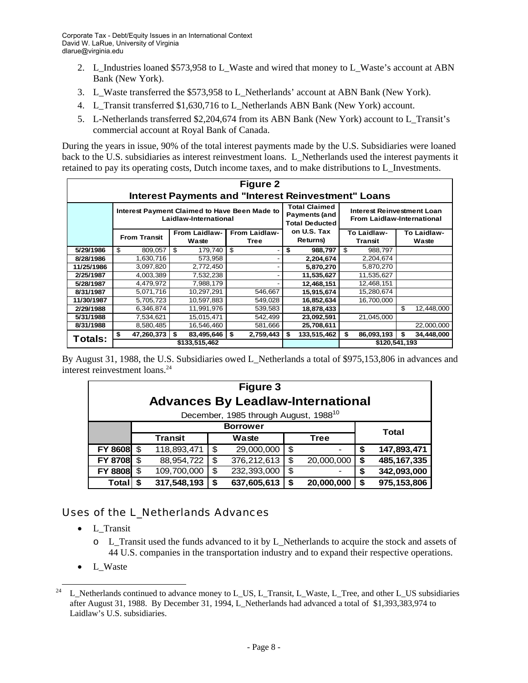- 2. L\_Industries loaned \$573,958 to L\_Waste and wired that money to L\_Waste's account at ABN Bank (New York).
- 3. L\_Waste transferred the \$573,958 to L\_Netherlands' account at ABN Bank (New York).
- 4. L\_Transit transferred \$1,630,716 to L\_Netherlands ABN Bank (New York) account.
- 5. L-Netherlands transferred \$2,204,674 from its ABN Bank (New York) account to L\_Transit's commercial account at Royal Bank of Canada.

During the years in issue, 90% of the total interest payments made by the U.S. Subsidiaries were loaned back to the U.S. subsidiaries as interest reinvestment loans. L\_Netherlands used the interest payments it retained to pay its operating costs, Dutch income taxes, and to make distributions to L\_Investments.

| <b>Figure 2</b><br><b>Interest Payments and "Interest Reinvestment" Loans</b> |                     |                                                                        |                                                                       |                                                                 |                        |                      |  |  |
|-------------------------------------------------------------------------------|---------------------|------------------------------------------------------------------------|-----------------------------------------------------------------------|-----------------------------------------------------------------|------------------------|----------------------|--|--|
|                                                                               |                     | Interest Payment Claimed to Have Been Made to<br>Laidlaw-International | <b>Total Claimed</b><br><b>Payments (and</b><br><b>Total Deducted</b> | Interest Reinvestment Loan<br><b>From Laidlaw-International</b> |                        |                      |  |  |
|                                                                               | <b>From Transit</b> | <b>From Laidlaw-</b><br>Waste                                          | <b>From Laidlaw-</b><br>Tree                                          | on U.S. Tax<br>Returns)                                         | To Laidlaw-<br>Transtt | To Laidlaw-<br>Waste |  |  |
| 5/29/1986                                                                     | 809,057<br>\$       | 179,740<br>\$                                                          | \$                                                                    | \$<br>988,797                                                   | 988,797<br>\$          |                      |  |  |
| 8/28/1986                                                                     | 1,630,716           | 573,958                                                                |                                                                       | 2,204,674                                                       | 2,204,674              |                      |  |  |
| 11/25/1986                                                                    | 3,097,820           | 2,772,450                                                              |                                                                       | 5,870,270                                                       | 5,870,270              |                      |  |  |
| 2/25/1987                                                                     | 4,003,389           | 7,532,238                                                              |                                                                       | 11,535,627                                                      | 11,535,627             |                      |  |  |
| 5/28/1987                                                                     | 4,479,972           | 7,988,179                                                              |                                                                       | 12,468,151                                                      | 12,468,151             |                      |  |  |
| 8/31/1987                                                                     | 5,071,716           | 10,297,291                                                             | 546.667                                                               | 15,915,674                                                      | 15,280,674             |                      |  |  |
| 11/30/1987                                                                    | 5,705,723           | 10,597,883                                                             | 549,028                                                               | 16,852,634                                                      | 16,700,000             |                      |  |  |
| 2/29/1988                                                                     | 6,346,874           | 11,991,976                                                             | 539,583                                                               | 18,878,433                                                      |                        | \$<br>12,448,000     |  |  |
| 5/31/1988                                                                     | 7,534,621           | 15,015,471                                                             | 542,499                                                               | 23,092,591                                                      | 21,045,000             |                      |  |  |
| 8/31/1988                                                                     | 8,580,485           | 16,546,460                                                             | 581,666                                                               | 25,708,611                                                      |                        | 22,000,000           |  |  |
| Totals:                                                                       | 47,260,373<br>\$    | 83,495,646<br>\$                                                       | \$<br>2,759,443                                                       | 133,515,462<br>\$                                               | 86,093,193<br>\$       | 34,448,000<br>\$     |  |  |
|                                                                               |                     | \$133.515.462                                                          |                                                                       |                                                                 | \$120.541.193          |                      |  |  |

By August 31, 1988, the U.S. Subsidiaries owed L\_Netherlands a total of \$975,153,806 in advances and interest reinvestment loans.<sup>24</sup>

| Figure 3<br><b>Advances By Leadlaw-International</b> |  |             |     |             |    |            |    |               |
|------------------------------------------------------|--|-------------|-----|-------------|----|------------|----|---------------|
| December, 1985 through August, 1988 <sup>10</sup>    |  |             |     |             |    |            |    |               |
| <b>Borrower</b><br><b>Total</b>                      |  |             |     |             |    |            |    |               |
|                                                      |  | Transtt     |     | Waste       |    |            |    |               |
| FY 8608 \$                                           |  | 118,893,471 |     | 29,000,000  | \$ |            | \$ | 147,893,471   |
| FY 8708 \$                                           |  | 88,954,722  | \$. | 376,212,613 | \$ | 20,000,000 | \$ | 485, 167, 335 |
| FY 8808 \$                                           |  | 109,700,000 | \$  | 232,393,000 | \$ |            | \$ | 342,093,000   |
| <b>Total</b>                                         |  | 317,548,193 |     | 637,605,613 | \$ | 20,000,000 | S  | 975,153,806   |

#### Uses of the L\_Netherlands Advances

- L\_Transit
	- o L\_Transit used the funds advanced to it by L\_Netherlands to acquire the stock and assets of 44 U.S. companies in the transportation industry and to expand their respective operations.
- L Waste

<sup>&</sup>lt;sup>24</sup> L\_Netherlands continued to advance money to L\_US, L\_Transit, L\_Waste, L\_Tree, and other L\_US subsidiaries after August 31, 1988. By December 31, 1994, L\_Netherlands had advanced a total of \$1,393,383,974 to Laidlaw's U.S. subsidiaries.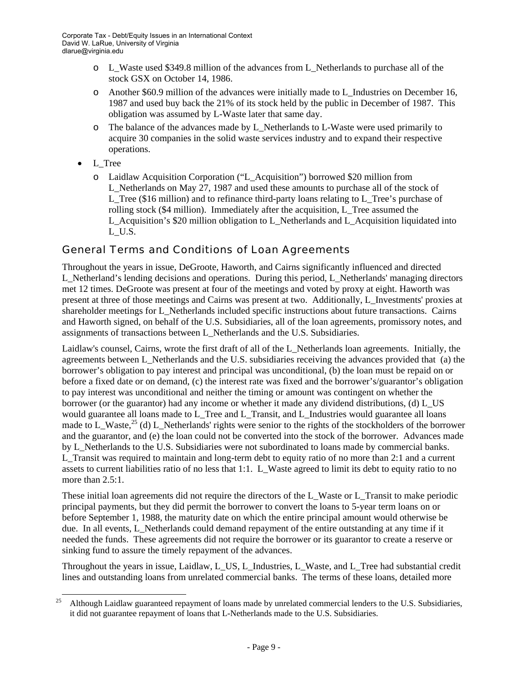- o L\_Waste used \$349.8 million of the advances from L\_Netherlands to purchase all of the stock GSX on October 14, 1986.
- o Another \$60.9 million of the advances were initially made to L\_Industries on December 16, 1987 and used buy back the 21% of its stock held by the public in December of 1987. This obligation was assumed by L-Waste later that same day.
- o The balance of the advances made by L\_Netherlands to L-Waste were used primarily to acquire 30 companies in the solid waste services industry and to expand their respective operations.
- L\_Tree
	- o Laidlaw Acquisition Corporation ("L\_Acquisition") borrowed \$20 million from L\_Netherlands on May 27, 1987 and used these amounts to purchase all of the stock of L Tree (\$16 million) and to refinance third-party loans relating to L Tree's purchase of rolling stock (\$4 million). Immediately after the acquisition, L\_Tree assumed the L\_Acquisition's \$20 million obligation to L\_Netherlands and L\_Acquisition liquidated into L\_U.S.

#### General Terms and Conditions of Loan Agreements

Throughout the years in issue, DeGroote, Haworth, and Cairns significantly influenced and directed L\_Netherland's lending decisions and operations. During this period, L\_Netherlands' managing directors met 12 times. DeGroote was present at four of the meetings and voted by proxy at eight. Haworth was present at three of those meetings and Cairns was present at two. Additionally, L\_Investments' proxies at shareholder meetings for L\_Netherlands included specific instructions about future transactions. Cairns and Haworth signed, on behalf of the U.S. Subsidiaries, all of the loan agreements, promissory notes, and assignments of transactions between L\_Netherlands and the U.S. Subsidiaries.

Laidlaw's counsel, Cairns, wrote the first draft of all of the L\_Netherlands loan agreements. Initially, the agreements between L\_Netherlands and the U.S. subsidiaries receiving the advances provided that (a) the borrower's obligation to pay interest and principal was unconditional, (b) the loan must be repaid on or before a fixed date or on demand, (c) the interest rate was fixed and the borrower's/guarantor's obligation to pay interest was unconditional and neither the timing or amount was contingent on whether the borrower (or the guarantor) had any income or whether it made any dividend distributions, (d) L\_US would guarantee all loans made to L\_Tree and L\_Transit, and L\_Industries would guarantee all loans made to L\_Waste,<sup>25</sup> (d) L\_Netherlands' rights were senior to the rights of the stockholders of the borrower and the guarantor, and (e) the loan could not be converted into the stock of the borrower. Advances made by L\_Netherlands to the U.S. Subsidiaries were not subordinated to loans made by commercial banks. L\_Transit was required to maintain and long-term debt to equity ratio of no more than 2:1 and a current assets to current liabilities ratio of no less that 1:1. L\_Waste agreed to limit its debt to equity ratio to no more than 2.5:1.

These initial loan agreements did not require the directors of the L\_Waste or L\_Transit to make periodic principal payments, but they did permit the borrower to convert the loans to 5-year term loans on or before September 1, 1988, the maturity date on which the entire principal amount would otherwise be due. In all events, L\_Netherlands could demand repayment of the entire outstanding at any time if it needed the funds. These agreements did not require the borrower or its guarantor to create a reserve or sinking fund to assure the timely repayment of the advances.

Throughout the years in issue, Laidlaw, L\_US, L\_Industries, L\_Waste, and L\_Tree had substantial credit lines and outstanding loans from unrelated commercial banks. The terms of these loans, detailed more

 <sup>25</sup> Although Laidlaw guaranteed repayment of loans made by unrelated commercial lenders to the U.S. Subsidiaries, it did not guarantee repayment of loans that L-Netherlands made to the U.S. Subsidiaries.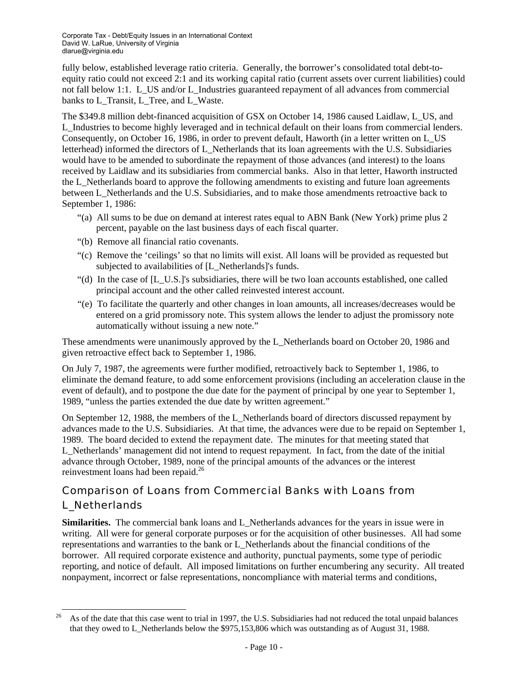fully below, established leverage ratio criteria. Generally, the borrower's consolidated total debt-toequity ratio could not exceed 2:1 and its working capital ratio (current assets over current liabilities) could not fall below 1:1. L\_US and/or L\_Industries guaranteed repayment of all advances from commercial banks to L\_Transit, L\_Tree, and L\_Waste.

The \$349.8 million debt-financed acquisition of GSX on October 14, 1986 caused Laidlaw, L\_US, and L\_Industries to become highly leveraged and in technical default on their loans from commercial lenders. Consequently, on October 16, 1986, in order to prevent default, Haworth (in a letter written on L\_US letterhead) informed the directors of L\_Netherlands that its loan agreements with the U.S. Subsidiaries would have to be amended to subordinate the repayment of those advances (and interest) to the loans received by Laidlaw and its subsidiaries from commercial banks. Also in that letter, Haworth instructed the L\_Netherlands board to approve the following amendments to existing and future loan agreements between L\_Netherlands and the U.S. Subsidiaries, and to make those amendments retroactive back to September 1, 1986:

- "(a) All sums to be due on demand at interest rates equal to ABN Bank (New York) prime plus 2 percent, payable on the last business days of each fiscal quarter.
- "(b) Remove all financial ratio covenants.
- "(c) Remove the 'ceilings' so that no limits will exist. All loans will be provided as requested but subjected to availabilities of [L\_Netherlands]'s funds.
- "(d) In the case of [L\_U.S.]'s subsidiaries, there will be two loan accounts established, one called principal account and the other called reinvested interest account.
- "(e) To facilitate the quarterly and other changes in loan amounts, all increases/decreases would be entered on a grid promissory note. This system allows the lender to adjust the promissory note automatically without issuing a new note."

These amendments were unanimously approved by the L\_Netherlands board on October 20, 1986 and given retroactive effect back to September 1, 1986.

On July 7, 1987, the agreements were further modified, retroactively back to September 1, 1986, to eliminate the demand feature, to add some enforcement provisions (including an acceleration clause in the event of default), and to postpone the due date for the payment of principal by one year to September 1, 1989, "unless the parties extended the due date by written agreement."

On September 12, 1988, the members of the L\_Netherlands board of directors discussed repayment by advances made to the U.S. Subsidiaries. At that time, the advances were due to be repaid on September 1, 1989. The board decided to extend the repayment date. The minutes for that meeting stated that L\_Netherlands' management did not intend to request repayment. In fact, from the date of the initial advance through October, 1989, none of the principal amounts of the advances or the interest reinvestment loans had been repaid.<sup>26</sup>

# Comparison of Loans from Commercial Banks with Loans from L\_Netherlands

**Similarities.** The commercial bank loans and L\_Netherlands advances for the years in issue were in writing. All were for general corporate purposes or for the acquisition of other businesses. All had some representations and warranties to the bank or L\_Netherlands about the financial conditions of the borrower. All required corporate existence and authority, punctual payments, some type of periodic reporting, and notice of default. All imposed limitations on further encumbering any security. All treated nonpayment, incorrect or false representations, noncompliance with material terms and conditions,

 $^{26}$  As of the date that this case went to trial in 1997, the U.S. Subsidiaries had not reduced the total unpaid balances that they owed to L\_Netherlands below the \$975,153,806 which was outstanding as of August 31, 1988.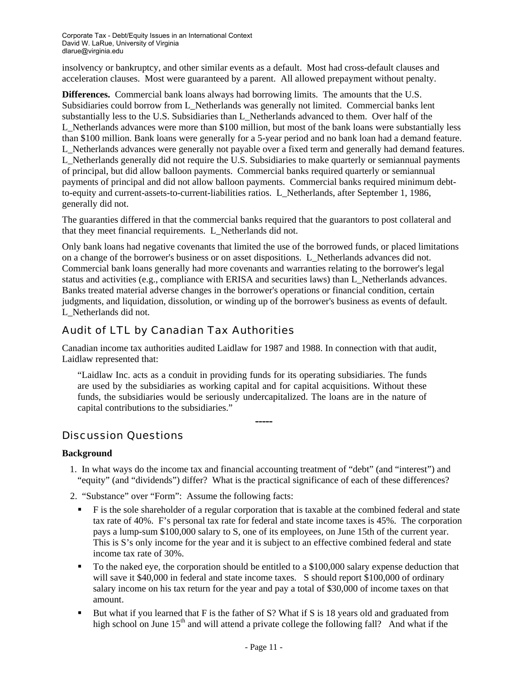insolvency or bankruptcy, and other similar events as a default. Most had cross-default clauses and acceleration clauses. Most were guaranteed by a parent. All allowed prepayment without penalty.

**Differences.** Commercial bank loans always had borrowing limits. The amounts that the U.S. Subsidiaries could borrow from L\_Netherlands was generally not limited. Commercial banks lent substantially less to the U.S. Subsidiaries than L\_Netherlands advanced to them. Over half of the L\_Netherlands advances were more than \$100 million, but most of the bank loans were substantially less than \$100 million. Bank loans were generally for a 5-year period and no bank loan had a demand feature. L\_Netherlands advances were generally not payable over a fixed term and generally had demand features. L\_Netherlands generally did not require the U.S. Subsidiaries to make quarterly or semiannual payments of principal, but did allow balloon payments. Commercial banks required quarterly or semiannual payments of principal and did not allow balloon payments. Commercial banks required minimum debtto-equity and current-assets-to-current-liabilities ratios. L\_Netherlands, after September 1, 1986, generally did not.

The guaranties differed in that the commercial banks required that the guarantors to post collateral and that they meet financial requirements. L\_Netherlands did not.

Only bank loans had negative covenants that limited the use of the borrowed funds, or placed limitations on a change of the borrower's business or on asset dispositions. L\_Netherlands advances did not. Commercial bank loans generally had more covenants and warranties relating to the borrower's legal status and activities (e.g., compliance with ERISA and securities laws) than L\_Netherlands advances. Banks treated material adverse changes in the borrower's operations or financial condition, certain judgments, and liquidation, dissolution, or winding up of the borrower's business as events of default. L\_Netherlands did not.

# Audit of LTL by Canadian Tax Authorities

Canadian income tax authorities audited Laidlaw for 1987 and 1988. In connection with that audit, Laidlaw represented that:

"Laidlaw Inc. acts as a conduit in providing funds for its operating subsidiaries. The funds are used by the subsidiaries as working capital and for capital acquisitions. Without these funds, the subsidiaries would be seriously undercapitalized. The loans are in the nature of capital contributions to the subsidiaries."

# Discussion Questions

#### **Background**

1. In what ways do the income tax and financial accounting treatment of "debt" (and "interest") and "equity" (and "dividends") differ? What is the practical significance of each of these differences?

-----

- 2. "Substance" over "Form": Assume the following facts:
	- F is the sole shareholder of a regular corporation that is taxable at the combined federal and state tax rate of 40%. F's personal tax rate for federal and state income taxes is 45%. The corporation pays a lump-sum \$100,000 salary to S, one of its employees, on June 15th of the current year. This is S's only income for the year and it is subject to an effective combined federal and state income tax rate of 30%.
	- To the naked eye, the corporation should be entitled to a \$100,000 salary expense deduction that will save it \$40,000 in federal and state income taxes. S should report \$100,000 of ordinary salary income on his tax return for the year and pay a total of \$30,000 of income taxes on that amount.
	- But what if you learned that F is the father of S? What if S is 18 years old and graduated from high school on June  $15<sup>th</sup>$  and will attend a private college the following fall? And what if the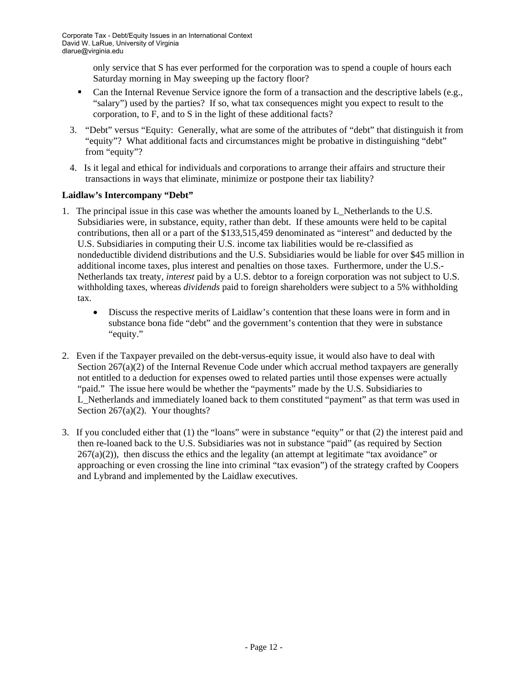only service that S has ever performed for the corporation was to spend a couple of hours each Saturday morning in May sweeping up the factory floor?

- Can the Internal Revenue Service ignore the form of a transaction and the descriptive labels (e.g., "salary") used by the parties? If so, what tax consequences might you expect to result to the corporation, to F, and to S in the light of these additional facts?
- 3. "Debt" versus "Equity: Generally, what are some of the attributes of "debt" that distinguish it from "equity"? What additional facts and circumstances might be probative in distinguishing "debt" from "equity"?
- 4. Is it legal and ethical for individuals and corporations to arrange their affairs and structure their transactions in ways that eliminate, minimize or postpone their tax liability?

#### **Laidlaw's Intercompany "Debt"**

- 1. The principal issue in this case was whether the amounts loaned by L\_Netherlands to the U.S. Subsidiaries were, in substance, equity, rather than debt. If these amounts were held to be capital contributions, then all or a part of the \$133,515,459 denominated as "interest" and deducted by the U.S. Subsidiaries in computing their U.S. income tax liabilities would be re-classified as nondeductible dividend distributions and the U.S. Subsidiaries would be liable for over \$45 million in additional income taxes, plus interest and penalties on those taxes. Furthermore, under the U.S.- Netherlands tax treaty, *interest* paid by a U.S. debtor to a foreign corporation was not subject to U.S. withholding taxes, whereas *dividends* paid to foreign shareholders were subject to a 5% withholding tax.
	- Discuss the respective merits of Laidlaw's contention that these loans were in form and in substance bona fide "debt" and the government's contention that they were in substance "equity."
- 2. Even if the Taxpayer prevailed on the debt-versus-equity issue, it would also have to deal with Section  $267(a)(2)$  of the Internal Revenue Code under which accrual method taxpayers are generally not entitled to a deduction for expenses owed to related parties until those expenses were actually "paid." The issue here would be whether the "payments" made by the U.S. Subsidiaries to L\_Netherlands and immediately loaned back to them constituted "payment" as that term was used in Section 267(a)(2). Your thoughts?
- 3. If you concluded either that (1) the "loans" were in substance "equity" or that (2) the interest paid and then re-loaned back to the U.S. Subsidiaries was not in substance "paid" (as required by Section  $267(a)(2)$ , then discuss the ethics and the legality (an attempt at legitimate "tax avoidance" or approaching or even crossing the line into criminal "tax evasion") of the strategy crafted by Coopers and Lybrand and implemented by the Laidlaw executives.